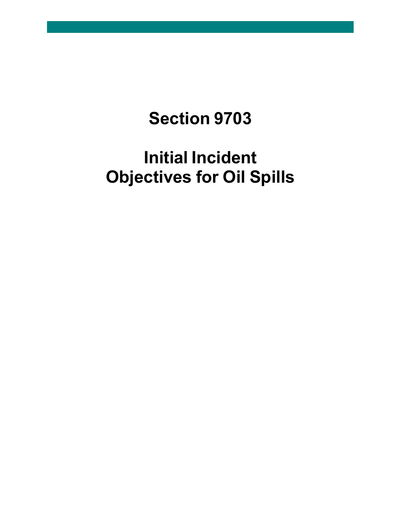## **Section 9703**

# **Initial Incident Objectives for Oil Spills**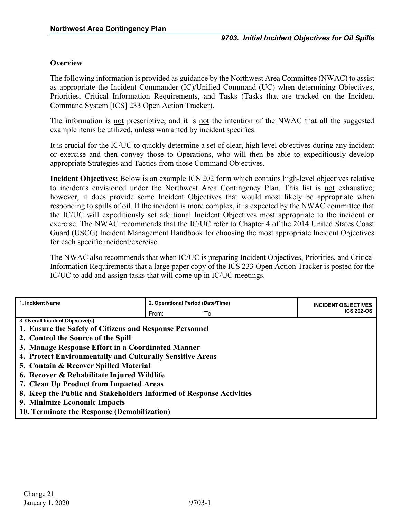## **Overview**

The following information is provided as guidance by the Northwest Area Committee (NWAC) to assist as appropriate the Incident Commander (IC)/Unified Command (UC) when determining Objectives, Priorities, Critical Information Requirements, and Tasks (Tasks that are tracked on the Incident Command System [ICS] 233 Open Action Tracker).

The information is not prescriptive, and it is not the intention of the NWAC that all the suggested example items be utilized, unless warranted by incident specifics.

It is crucial for the IC/UC to quickly determine a set of clear, high level objectives during any incident or exercise and then convey those to Operations, who will then be able to expeditiously develop appropriate Strategies and Tactics from those Command Objectives.

**Incident Objectives:** Below is an example ICS 202 form which contains high-level objectives relative to incidents envisioned under the Northwest Area Contingency Plan. This list is not exhaustive; however, it does provide some Incident Objectives that would most likely be appropriate when responding to spills of oil. If the incident is more complex, it is expected by the NWAC committee that the IC/UC will expeditiously set additional Incident Objectives most appropriate to the incident or exercise. The NWAC recommends that the IC/UC refer to Chapter 4 of the 2014 United States Coast Guard (USCG) Incident Management Handbook for choosing the most appropriate Incident Objectives for each specific incident/exercise.

The NWAC also recommends that when IC/UC is preparing Incident Objectives, Priorities, and Critical Information Requirements that a large paper copy of the ICS 233 Open Action Tracker is posted for the IC/UC to add and assign tasks that will come up in IC/UC meetings.

| 1. Incident Name                                                    | 2. Operational Period (Date/Time) | <b>INCIDENT OBJECTIVES</b> |  |  |  |
|---------------------------------------------------------------------|-----------------------------------|----------------------------|--|--|--|
|                                                                     | From:<br>To:                      | <b>ICS 202-OS</b>          |  |  |  |
| 3. Overall Incident Objective(s)                                    |                                   |                            |  |  |  |
| 1. Ensure the Safety of Citizens and Response Personnel             |                                   |                            |  |  |  |
| 2. Control the Source of the Spill                                  |                                   |                            |  |  |  |
| 3. Manage Response Effort in a Coordinated Manner                   |                                   |                            |  |  |  |
| 4. Protect Environmentally and Culturally Sensitive Areas           |                                   |                            |  |  |  |
| 5. Contain & Recover Spilled Material                               |                                   |                            |  |  |  |
| 6. Recover & Rehabilitate Injured Wildlife                          |                                   |                            |  |  |  |
| 7. Clean Up Product from Impacted Areas                             |                                   |                            |  |  |  |
| 8. Keep the Public and Stakeholders Informed of Response Activities |                                   |                            |  |  |  |
| 9. Minimize Economic Impacts                                        |                                   |                            |  |  |  |
| 10. Terminate the Response (Demobilization)                         |                                   |                            |  |  |  |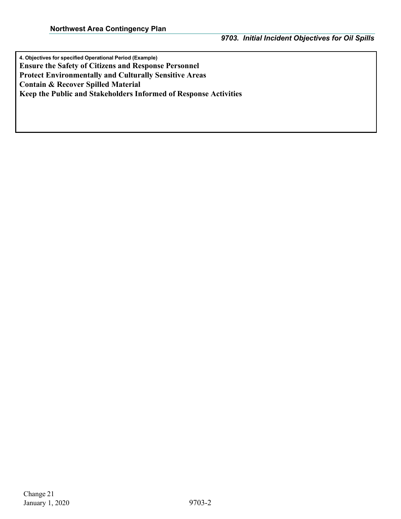**4. Objectives for specified Operational Period (Example) Ensure the Safety of Citizens and Response Personnel Protect Environmentally and Culturally Sensitive Areas Contain & Recover Spilled Material Keep the Public and Stakeholders Informed of Response Activities**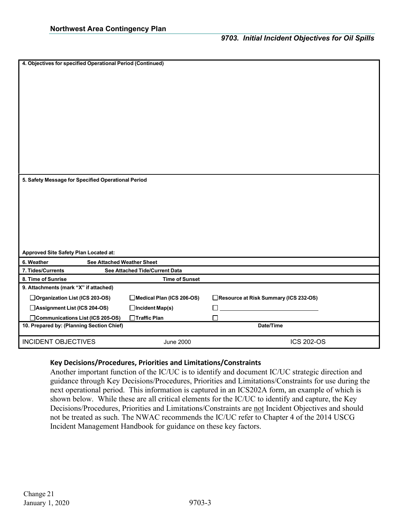| 4. Objectives for specified Operational Period (Continued)                                             |  |
|--------------------------------------------------------------------------------------------------------|--|
| 5. Safety Message for Specified Operational Period<br>Approved Site Safety Plan Located at:            |  |
| 6. Weather<br>See Attached Weather Sheet                                                               |  |
| 7. Tides/Currents<br>See Attached Tide/Current Data                                                    |  |
| 8. Time of Sunrise<br><b>Time of Sunset</b>                                                            |  |
| 9. Attachments (mark "X" if attached)                                                                  |  |
| □ Organization List (ICS 203-OS)<br>Medical Plan (ICS 206-OS)<br>Resource at Risk Summary (ICS 232-OS) |  |
| Assignment List (ICS 204-OS)<br>□Incident Map(s)                                                       |  |
| □ Communications List (ICS 205-OS)<br>□Traffic Plan<br>П                                               |  |
| 10. Prepared by: (Planning Section Chief)<br>Date/Time                                                 |  |
| <b>INCIDENT OBJECTIVES</b><br><b>ICS 202-OS</b>                                                        |  |

#### **Key Decisions/Procedures, Priorities and Limitations/Constraints**

Another important function of the IC/UC is to identify and document IC/UC strategic direction and guidance through Key Decisions/Procedures, Priorities and Limitations/Constraints for use during the next operational period. This information is captured in an ICS202A form, an example of which is shown below. While these are all critical elements for the IC/UC to identify and capture, the Key Decisions/Procedures, Priorities and Limitations/Constraints are not Incident Objectives and should not be treated as such. The NWAC recommends the IC/UC refer to Chapter 4 of the 2014 USCG Incident Management Handbook for guidance on these key factors.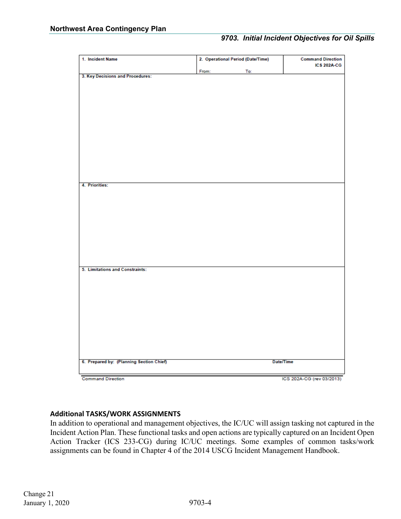## *9703. Initial Incident Objectives for Oil Spills*

| 1. Incident Name                         |       | 2. Operational Period (Date/Time) | <b>Command Direction</b><br><b>ICS 202A-CG</b> |  |
|------------------------------------------|-------|-----------------------------------|------------------------------------------------|--|
|                                          | From: | To:                               |                                                |  |
| 3. Key Decisions and Procedures:         |       |                                   |                                                |  |
|                                          |       |                                   |                                                |  |
|                                          |       |                                   |                                                |  |
|                                          |       |                                   |                                                |  |
|                                          |       |                                   |                                                |  |
|                                          |       |                                   |                                                |  |
|                                          |       |                                   |                                                |  |
|                                          |       |                                   |                                                |  |
|                                          |       |                                   |                                                |  |
|                                          |       |                                   |                                                |  |
|                                          |       |                                   |                                                |  |
|                                          |       |                                   |                                                |  |
|                                          |       |                                   |                                                |  |
|                                          |       |                                   |                                                |  |
|                                          |       |                                   |                                                |  |
| 4. Priorities:                           |       |                                   |                                                |  |
|                                          |       |                                   |                                                |  |
|                                          |       |                                   |                                                |  |
|                                          |       |                                   |                                                |  |
|                                          |       |                                   |                                                |  |
|                                          |       |                                   |                                                |  |
|                                          |       |                                   |                                                |  |
|                                          |       |                                   |                                                |  |
|                                          |       |                                   |                                                |  |
|                                          |       |                                   |                                                |  |
|                                          |       |                                   |                                                |  |
|                                          |       |                                   |                                                |  |
| 5. Limitations and Constraints:          |       |                                   |                                                |  |
|                                          |       |                                   |                                                |  |
|                                          |       |                                   |                                                |  |
|                                          |       |                                   |                                                |  |
|                                          |       |                                   |                                                |  |
|                                          |       |                                   |                                                |  |
|                                          |       |                                   |                                                |  |
|                                          |       |                                   |                                                |  |
|                                          |       |                                   |                                                |  |
|                                          |       |                                   |                                                |  |
|                                          |       |                                   |                                                |  |
|                                          |       |                                   |                                                |  |
|                                          |       |                                   |                                                |  |
| 6. Prepared by: (Planning Section Chief) |       | Date/Time                         |                                                |  |
|                                          |       |                                   |                                                |  |
| <b>Command Direction</b>                 |       |                                   | ICS 202A-CG (rev 03/2013)                      |  |

### **Additional TASKS/WORK ASSIGNMENTS**

In addition to operational and management objectives, the IC/UC will assign tasking not captured in the Incident Action Plan. These functional tasks and open actions are typically captured on an Incident Open Action Tracker (ICS 233-CG) during IC/UC meetings. Some examples of common tasks/work assignments can be found in Chapter 4 of the 2014 USCG Incident Management Handbook.